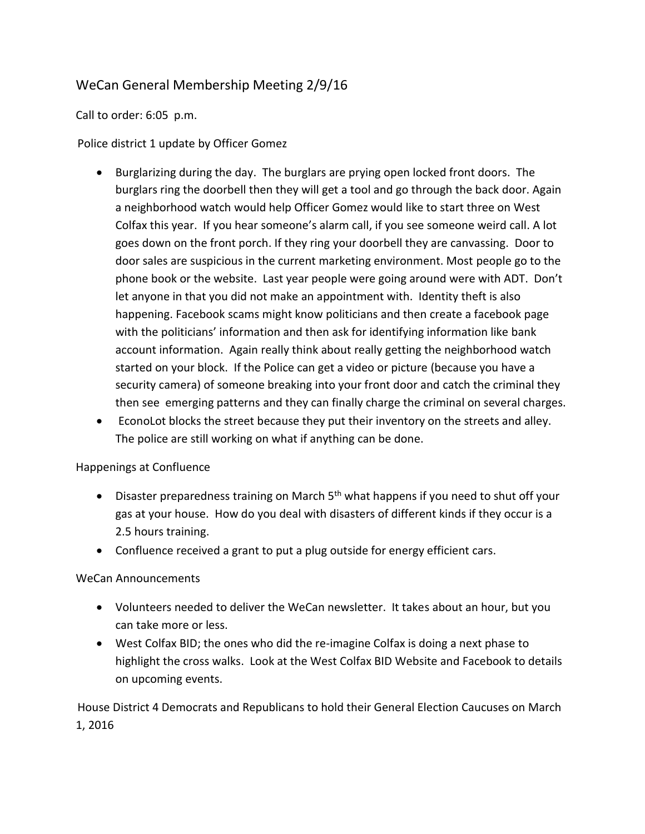## WeCan General Membership Meeting 2/9/16

Call to order: 6:05 p.m.

Police district 1 update by Officer Gomez

- Burglarizing during the day. The burglars are prying open locked front doors. The burglars ring the doorbell then they will get a tool and go through the back door. Again a neighborhood watch would help Officer Gomez would like to start three on West Colfax this year. If you hear someone's alarm call, if you see someone weird call. A lot goes down on the front porch. If they ring your doorbell they are canvassing. Door to door sales are suspicious in the current marketing environment. Most people go to the phone book or the website. Last year people were going around were with ADT. Don't let anyone in that you did not make an appointment with. Identity theft is also happening. Facebook scams might know politicians and then create a facebook page with the politicians' information and then ask for identifying information like bank account information. Again really think about really getting the neighborhood watch started on your block. If the Police can get a video or picture (because you have a security camera) of someone breaking into your front door and catch the criminal they then see emerging patterns and they can finally charge the criminal on several charges.
- EconoLot blocks the street because they put their inventory on the streets and alley. The police are still working on what if anything can be done.

## Happenings at Confluence

- **•** Disaster preparedness training on March  $5<sup>th</sup>$  what happens if you need to shut off your gas at your house. How do you deal with disasters of different kinds if they occur is a 2.5 hours training.
- Confluence received a grant to put a plug outside for energy efficient cars.

## WeCan Announcements

- Volunteers needed to deliver the WeCan newsletter. It takes about an hour, but you can take more or less.
- West Colfax BID; the ones who did the re-imagine Colfax is doing a next phase to highlight the cross walks. Look at the West Colfax BID Website and Facebook to details on upcoming events.

House District 4 Democrats and Republicans to hold their General Election Caucuses on March 1, 2016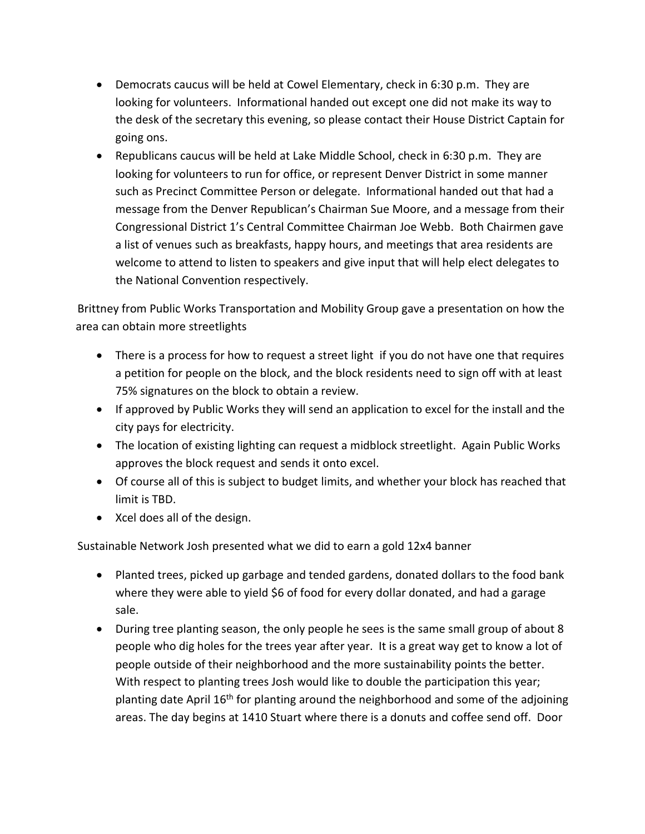- Democrats caucus will be held at Cowel Elementary, check in 6:30 p.m. They are looking for volunteers. Informational handed out except one did not make its way to the desk of the secretary this evening, so please contact their House District Captain for going ons.
- Republicans caucus will be held at Lake Middle School, check in 6:30 p.m. They are looking for volunteers to run for office, or represent Denver District in some manner such as Precinct Committee Person or delegate. Informational handed out that had a message from the Denver Republican's Chairman Sue Moore, and a message from their Congressional District 1's Central Committee Chairman Joe Webb. Both Chairmen gave a list of venues such as breakfasts, happy hours, and meetings that area residents are welcome to attend to listen to speakers and give input that will help elect delegates to the National Convention respectively.

Brittney from Public Works Transportation and Mobility Group gave a presentation on how the area can obtain more streetlights

- There is a process for how to request a street light if you do not have one that requires a petition for people on the block, and the block residents need to sign off with at least 75% signatures on the block to obtain a review.
- If approved by Public Works they will send an application to excel for the install and the city pays for electricity.
- The location of existing lighting can request a midblock streetlight. Again Public Works approves the block request and sends it onto excel.
- Of course all of this is subject to budget limits, and whether your block has reached that limit is TBD.
- Xcel does all of the design.

Sustainable Network Josh presented what we did to earn a gold 12x4 banner

- Planted trees, picked up garbage and tended gardens, donated dollars to the food bank where they were able to yield \$6 of food for every dollar donated, and had a garage sale.
- During tree planting season, the only people he sees is the same small group of about 8 people who dig holes for the trees year after year. It is a great way get to know a lot of people outside of their neighborhood and the more sustainability points the better. With respect to planting trees Josh would like to double the participation this year; planting date April 16<sup>th</sup> for planting around the neighborhood and some of the adjoining areas. The day begins at 1410 Stuart where there is a donuts and coffee send off. Door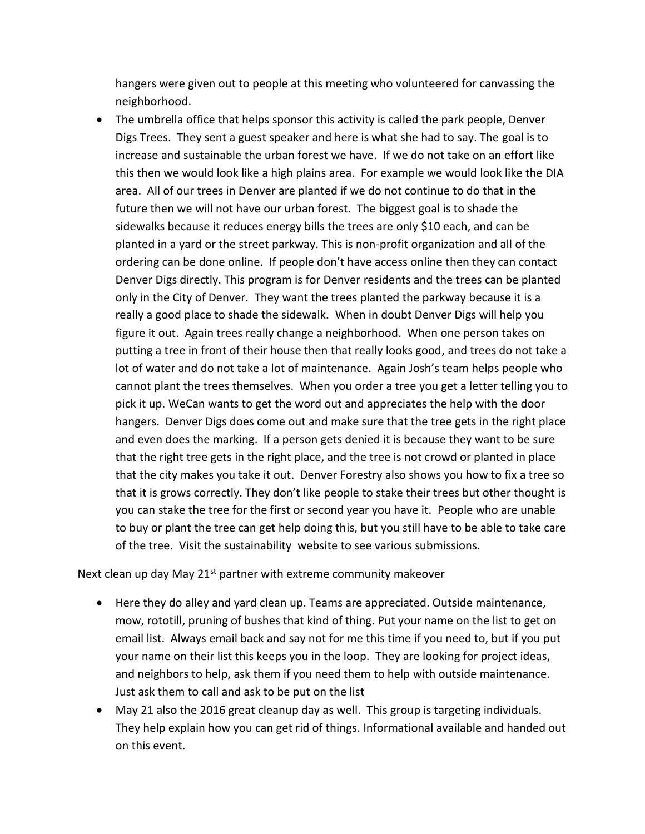hangers were given out to people at this meeting who volunteered for canvassing the neighborhood.

 The umbrella office that helps sponsor this activity is called the park people, Denver Digs Trees. They sent a guest speaker and here is what she had to say. The goal is to increase and sustainable the urban forest we have. If we do not take on an effort like this then we would look like a high plains area. For example we would look like the DIA area. All of our trees in Denver are planted if we do not continue to do that in the future then we will not have our urban forest. The biggest goal is to shade the sidewalks because it reduces energy bills the trees are only \$10 each, and can be planted in a yard or the street parkway. This is non-profit organization and all of the ordering can be done online. If people don't have access online then they can contact Denver Digs directly. This program is for Denver residents and the trees can be planted only in the City of Denver. They want the trees planted the parkway because it is a really a good place to shade the sidewalk. When in doubt Denver Digs will help you figure it out. Again trees really change a neighborhood. When one person takes on putting a tree in front of their house then that really looks good, and trees do not take a lot of water and do not take a lot of maintenance. Again Josh's team helps people who cannot plant the trees themselves. When you order a tree you get a letter telling you to pick it up. WeCan wants to get the word out and appreciates the help with the door hangers. Denver Digs does come out and make sure that the tree gets in the right place and even does the marking. If a person gets denied it is because they want to be sure that the right tree gets in the right place, and the tree is not crowd or planted in place that the city makes you take it out. Denver Forestry also shows you how to fix a tree so that it is grows correctly. They don't like people to stake their trees but other thought is you can stake the tree for the first or second year you have it. People who are unable to buy or plant the tree can get help doing this, but you still have to be able to take care of the tree. Visit the sustainability website to see various submissions.

Next clean up day May  $21<sup>st</sup>$  partner with extreme community makeover

- Here they do alley and yard clean up. Teams are appreciated. Outside maintenance, mow, rototill, pruning of bushes that kind of thing. Put your name on the list to get on email list. Always email back and say not for me this time if you need to, but if you put your name on their list this keeps you in the loop. They are looking for project ideas, and neighbors to help, ask them if you need them to help with outside maintenance. Just ask them to call and ask to be put on the list
- May 21 also the 2016 great cleanup day as well. This group is targeting individuals. They help explain how you can get rid of things. Informational available and handed out on this event.